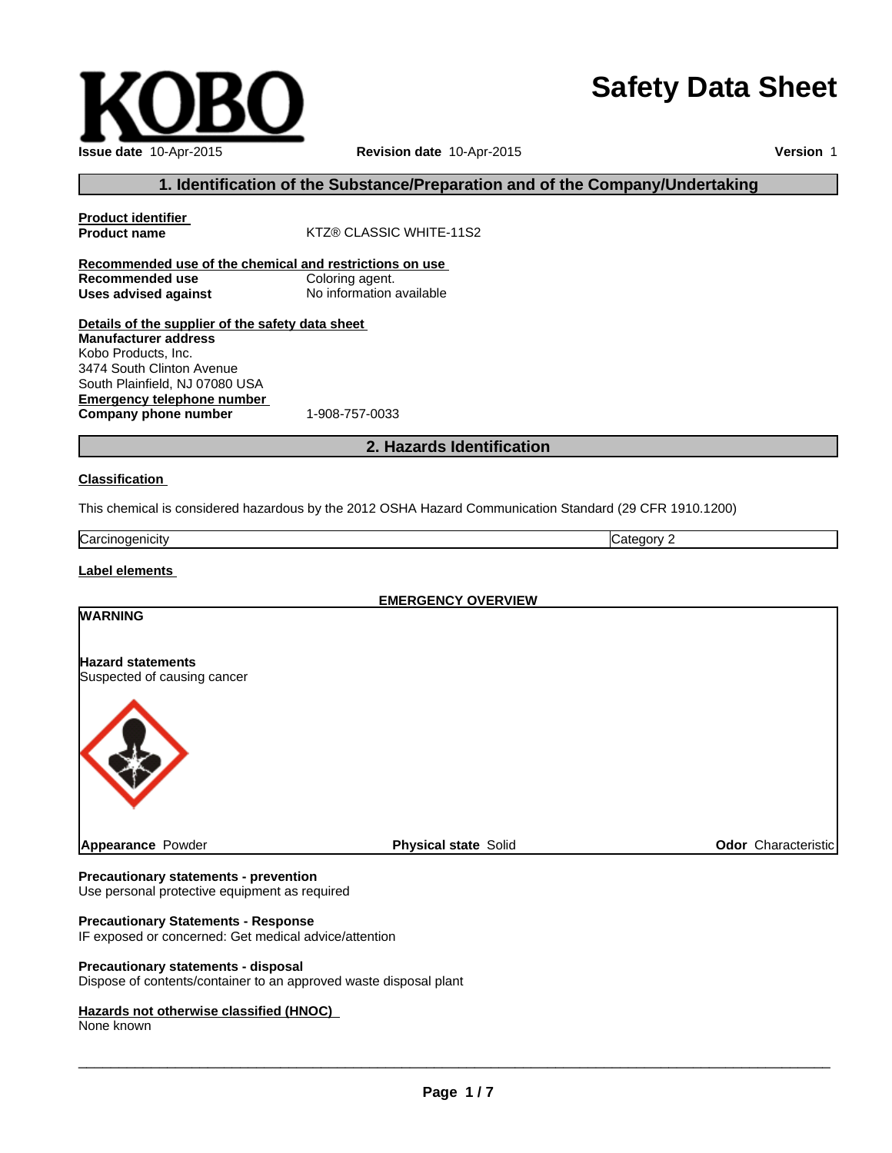# **Safety Data Sheet**

| $-1-$ |  |  |
|-------|--|--|

**Recommended use of the chemical and restrictions on use**

### **Precautionary statements - prevention**

Use personal protective equipment as required

#### **Precautionary Statements - Response**

IF exposed or concerned: Get medical advice/attention

#### **Precautionary statements - disposal**

Dispose of contents/container to an approved waste disposal plant

#### **Hazards not otherwise classified (HNOC)**

None known

 $\_$  , and the set of the set of the set of the set of the set of the set of the set of the set of the set of the set of the set of the set of the set of the set of the set of the set of the set of the set of the set of th

**Issue date** 10-Apr-2015

**Emergency telephone number**

**Product identifier**

**Recommended use<br>Uses advised against** 

**Manufacturer address** Kobo Products, Inc. 3474 South Clinton Avenue South Plainfield, NJ 07080 USA

# **Revision date** 10-Apr-2015

**Version** 1

# **1. Identification of the Substance/Preparation and of the Company/Undertaking**

**Details of the supplier of the safety data sheet**

**KTZ® CLASSIC WHITE-11S2** 

**Uses advised against** No information available

**Company phone number** 1-908-757-0033

# **2. Hazards Identification**

# **Classification**

This chemical is considered hazardous by the 2012 OSHA Hazard Communication Standard (29 CFR 1910.1200)

| ∽<br>m<br>0.000000<br>Carcine<br>uenicai | . .<br>. |
|------------------------------------------|----------|

**EMERGENCY OVERVIEW**

# **Label elements**

**WARNING**

**Hazard statements** Suspected of causing cancer **Appearance** Powder **Physical state** Solid **Physical state** Solid **Physical state** Solid **Odor** Characteristic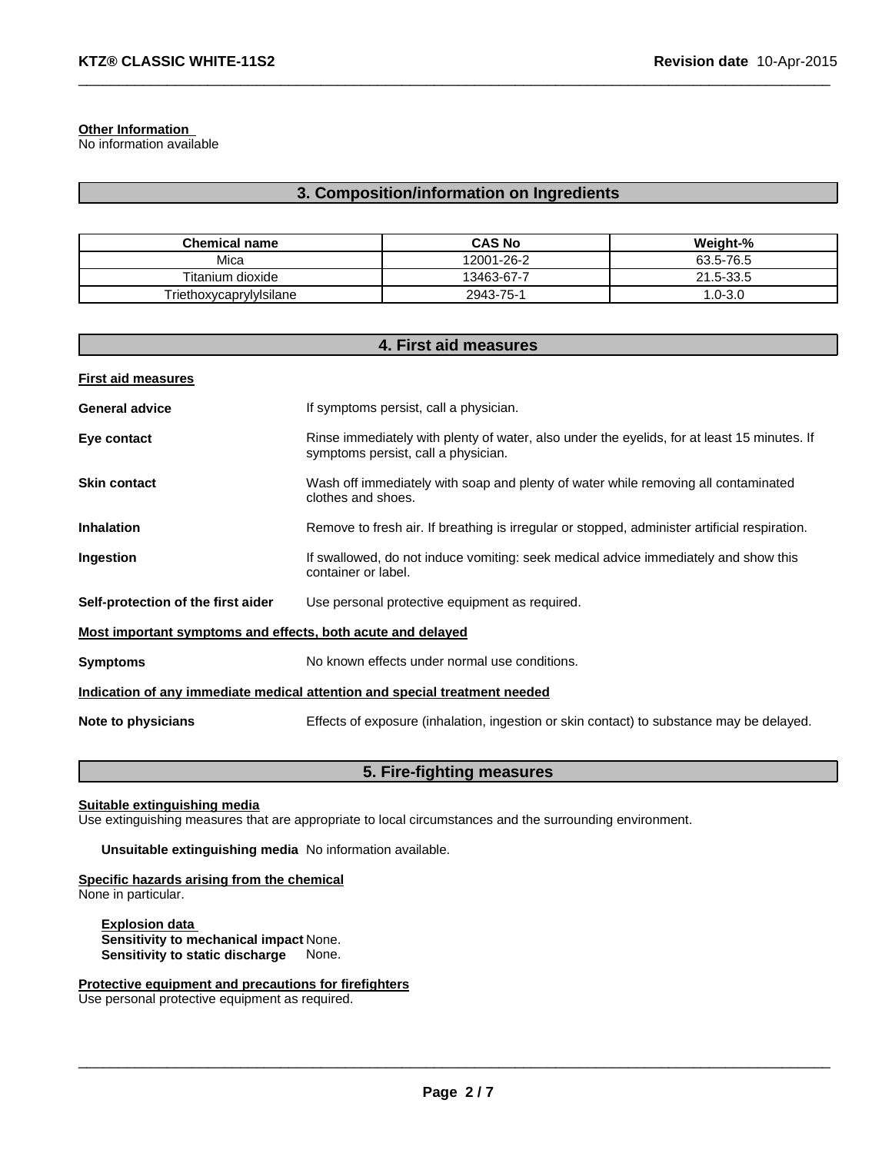#### **Other Information**

No information available

# **3. Composition/information on Ingredients**

 $\_$  , and the set of the set of the set of the set of the set of the set of the set of the set of the set of the set of the set of the set of the set of the set of the set of the set of the set of the set of the set of th

| <b>Chemical name</b>    | <b>CAS No</b> | Weight-%    |
|-------------------------|---------------|-------------|
| Mica                    | 12001-26-2    | 63.5-76.5   |
| Titanium dioxide        | 13463-67-7    | 21.5-33.5   |
| Triethoxycaprylylsilane | 2943-75-1     | $1.0 - 3.0$ |

| 4. First aid measures                                                      |                                                                                                                                    |  |
|----------------------------------------------------------------------------|------------------------------------------------------------------------------------------------------------------------------------|--|
| <b>First aid measures</b>                                                  |                                                                                                                                    |  |
| <b>General advice</b>                                                      | If symptoms persist, call a physician.                                                                                             |  |
| Eye contact                                                                | Rinse immediately with plenty of water, also under the eyelids, for at least 15 minutes. If<br>symptoms persist, call a physician. |  |
| <b>Skin contact</b>                                                        | Wash off immediately with soap and plenty of water while removing all contaminated<br>clothes and shoes.                           |  |
| <b>Inhalation</b>                                                          | Remove to fresh air. If breathing is irregular or stopped, administer artificial respiration.                                      |  |
| Ingestion                                                                  | If swallowed, do not induce vomiting: seek medical advice immediately and show this<br>container or label.                         |  |
| Self-protection of the first aider                                         | Use personal protective equipment as required.                                                                                     |  |
| Most important symptoms and effects, both acute and delayed                |                                                                                                                                    |  |
| <b>Symptoms</b>                                                            | No known effects under normal use conditions.                                                                                      |  |
| Indication of any immediate medical attention and special treatment needed |                                                                                                                                    |  |
| Note to physicians                                                         | Effects of exposure (inhalation, ingestion or skin contact) to substance may be delayed.                                           |  |

# **5. Fire-fighting measures**

**Suitable extinguishing media**

Use extinguishing measures that are appropriate to local circumstances and the surrounding environment.

**Unsuitable extinguishing media** No information available.

**Specific hazards arising from the chemical** None in particular.

**Explosion data Sensitivity to mechanical impact** None. **Sensitivity to static discharge** None.

**Protective equipment and precautions for firefighters**

Use personal protective equipment as required.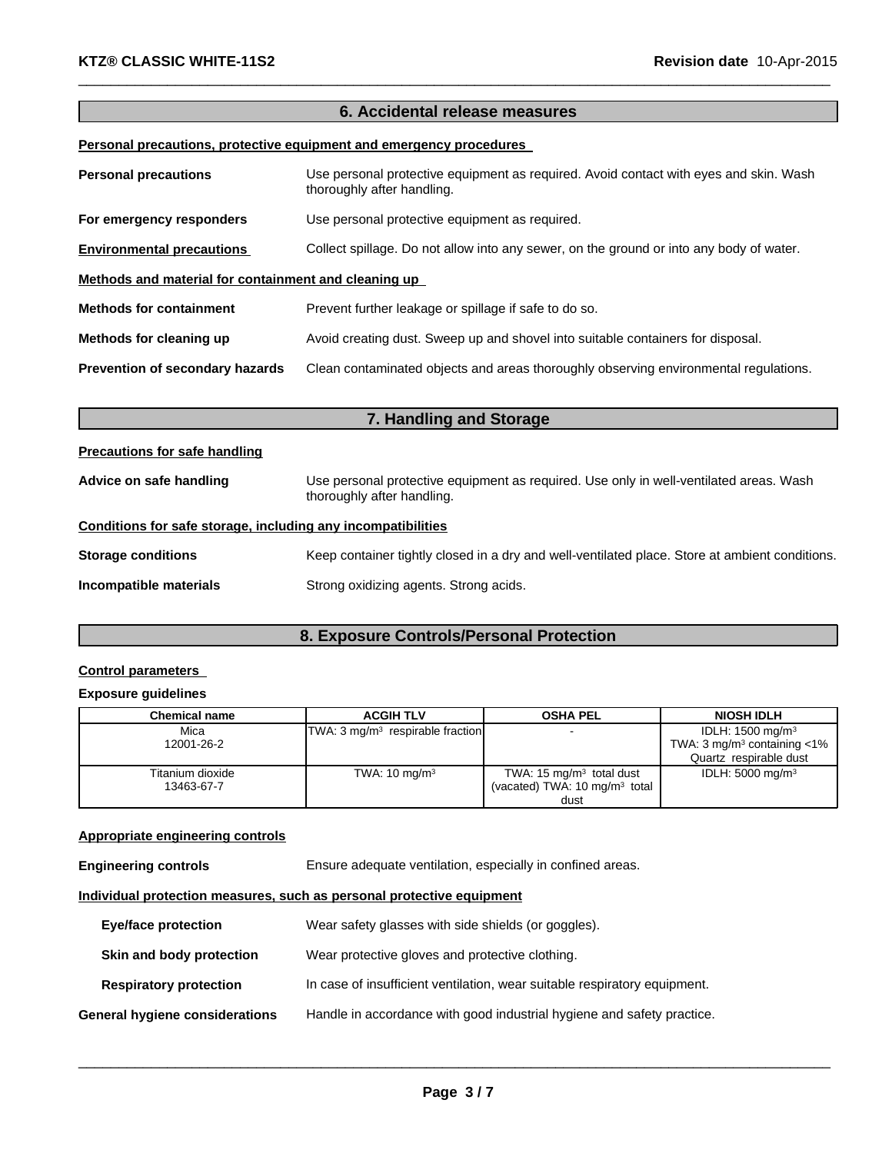# **6. Accidental release measures**

 $\_$  , and the set of the set of the set of the set of the set of the set of the set of the set of the set of the set of the set of the set of the set of the set of the set of the set of the set of the set of the set of th

# **Personal precautions, protective equipment and emergency procedures**

| <b>Personal precautions</b>                          | Use personal protective equipment as required. Avoid contact with eyes and skin. Wash<br>thoroughly after handling. |  |  |
|------------------------------------------------------|---------------------------------------------------------------------------------------------------------------------|--|--|
| For emergency responders                             | Use personal protective equipment as required.                                                                      |  |  |
| <b>Environmental precautions</b>                     | Collect spillage. Do not allow into any sewer, on the ground or into any body of water.                             |  |  |
| Methods and material for containment and cleaning up |                                                                                                                     |  |  |
| <b>Methods for containment</b>                       | Prevent further leakage or spillage if safe to do so.                                                               |  |  |
| Methods for cleaning up                              | Avoid creating dust. Sweep up and shovel into suitable containers for disposal.                                     |  |  |
| Prevention of secondary hazards                      | Clean contaminated objects and areas thoroughly observing environmental regulations.                                |  |  |

| 7. Handling and Storage                                      |                                                                                                                      |  |
|--------------------------------------------------------------|----------------------------------------------------------------------------------------------------------------------|--|
| <b>Precautions for safe handling</b>                         |                                                                                                                      |  |
| Advice on safe handling                                      | Use personal protective equipment as required. Use only in well-ventilated areas. Wash<br>thoroughly after handling. |  |
| Conditions for safe storage, including any incompatibilities |                                                                                                                      |  |
| <b>Storage conditions</b>                                    | Keep container tightly closed in a dry and well-ventilated place. Store at ambient conditions.                       |  |
| Incompatible materials                                       | Strong oxidizing agents. Strong acids.                                                                               |  |

# **8. Exposure Controls/Personal Protection**

# **Control parameters**

# **Exposure guidelines**

| <b>Chemical name</b> | <b>ACGIH TLV</b>                            | <b>OSHA PEL</b>                          | <b>NIOSH IDLH</b>                            |
|----------------------|---------------------------------------------|------------------------------------------|----------------------------------------------|
| Mica                 | TWA: $3 \text{ mq/m}^3$ respirable fraction | $\overline{\phantom{a}}$                 | IDLH: 1500 mg/m <sup>3</sup>                 |
| 12001-26-2           |                                             |                                          | TWA: $3 \text{ mg/m}^3$ containing $\lt 1\%$ |
|                      |                                             |                                          | Quartz respirable dust                       |
| Titanium dioxide     | TWA: $10 \text{ mg/m}^3$                    | TWA: $15 \text{ mg/m}^3$ total dust      | IDLH: $5000 \text{ mg/m}^3$                  |
| 13463-67-7           |                                             | (vacated) TWA: $10 \text{ mg/m}^3$ total |                                              |
|                      |                                             | dust                                     |                                              |

# **Appropriate engineering controls**

| <b>Engineering controls</b> | Ensure adequate ventilation, especially in confined areas. |  |
|-----------------------------|------------------------------------------------------------|--|
|-----------------------------|------------------------------------------------------------|--|

# **Individual protection measures, such as personal protective equipment**

| <b>Eye/face protection</b>     | Wear safety glasses with side shields (or goggles).                       |
|--------------------------------|---------------------------------------------------------------------------|
| Skin and body protection       | Wear protective gloves and protective clothing.                           |
| <b>Respiratory protection</b>  | In case of insufficient ventilation, wear suitable respiratory equipment. |
| General hygiene considerations | Handle in accordance with good industrial hygiene and safety practice.    |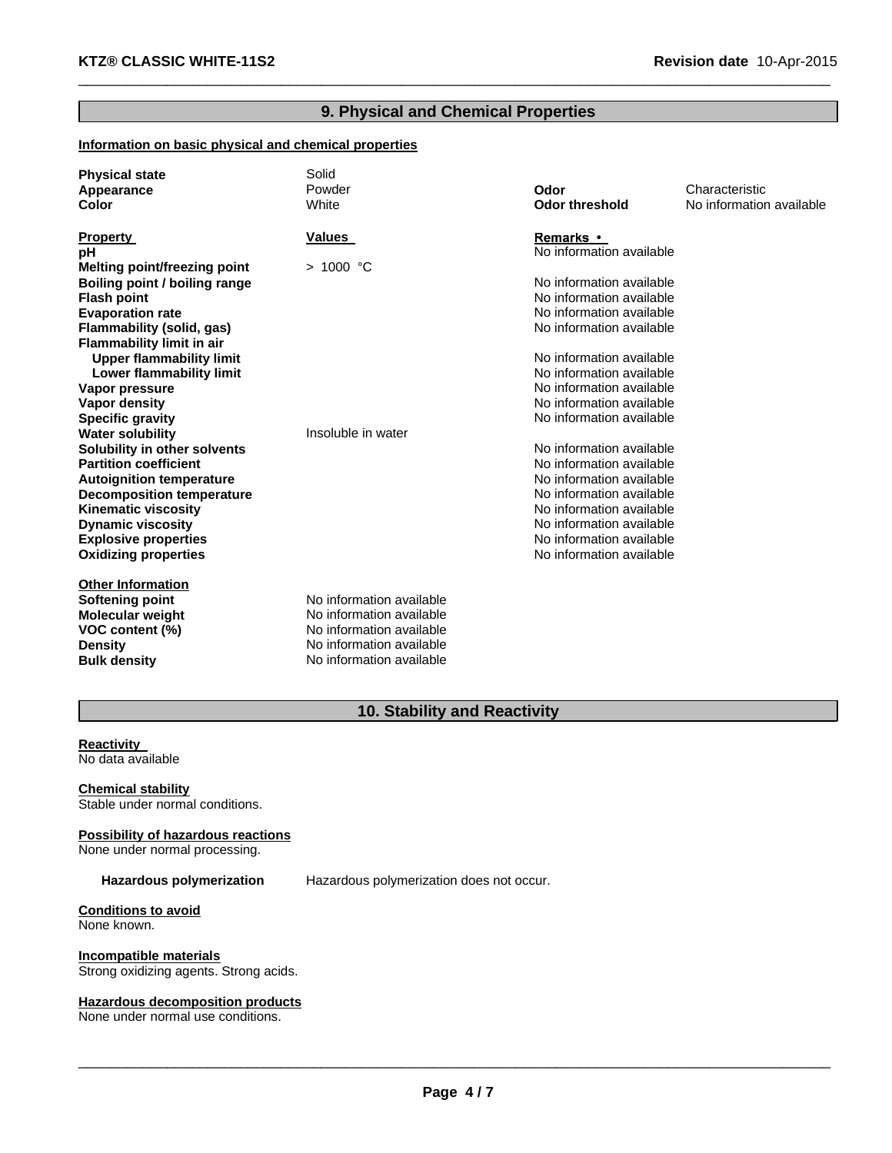# **9. Physical and Chemical Properties**

 $\_$  , and the set of the set of the set of the set of the set of the set of the set of the set of the set of the set of the set of the set of the set of the set of the set of the set of the set of the set of the set of th

# **Information on basic physical and chemical properties**

| <b>Physical state</b><br>Appearance<br>Color | Solid<br>Powder<br>White | Odor<br><b>Odor threshold</b> | Characteristic<br>No information available |
|----------------------------------------------|--------------------------|-------------------------------|--------------------------------------------|
| <b>Property</b>                              | <b>Values</b>            | Remarks •                     |                                            |
| рH                                           |                          | No information available      |                                            |
| <b>Melting point/freezing point</b>          | > 1000 °C                |                               |                                            |
| Boiling point / boiling range                |                          | No information available      |                                            |
| <b>Flash point</b>                           |                          | No information available      |                                            |
| <b>Evaporation rate</b>                      |                          | No information available      |                                            |
| Flammability (solid, gas)                    |                          | No information available      |                                            |
| <b>Flammability limit in air</b>             |                          |                               |                                            |
| <b>Upper flammability limit</b>              |                          | No information available      |                                            |
| Lower flammability limit                     |                          | No information available      |                                            |
| Vapor pressure                               |                          | No information available      |                                            |
| Vapor density                                |                          | No information available      |                                            |
| <b>Specific gravity</b>                      |                          | No information available      |                                            |
| <b>Water solubility</b>                      | Insoluble in water       |                               |                                            |
| Solubility in other solvents                 |                          | No information available      |                                            |
| <b>Partition coefficient</b>                 |                          | No information available      |                                            |
| <b>Autoignition temperature</b>              |                          | No information available      |                                            |
| <b>Decomposition temperature</b>             |                          | No information available      |                                            |
| <b>Kinematic viscosity</b>                   |                          | No information available      |                                            |
| <b>Dynamic viscosity</b>                     |                          | No information available      |                                            |
| <b>Explosive properties</b>                  |                          | No information available      |                                            |
| <b>Oxidizing properties</b>                  |                          | No information available      |                                            |
| <b>Other Information</b>                     |                          |                               |                                            |
| <b>Softening point</b>                       | No information available |                               |                                            |
| <b>Molecular weight</b>                      | No information available |                               |                                            |
| VOC content (%)                              | No information available |                               |                                            |
| <b>Density</b>                               | No information available |                               |                                            |
| <b>Bulk density</b>                          | No information available |                               |                                            |

# **10. Stability and Reactivity**

**Reactivity** No data available

**Chemical stability** Stable under normal conditions.

**Possibility of hazardous reactions** None under normal processing.

**Hazardous polymerization** Hazardous polymerization does not occur.

**Conditions to avoid** None known.

**Incompatible materials** Strong oxidizing agents. Strong acids.

**Hazardous decomposition products** None under normal use conditions.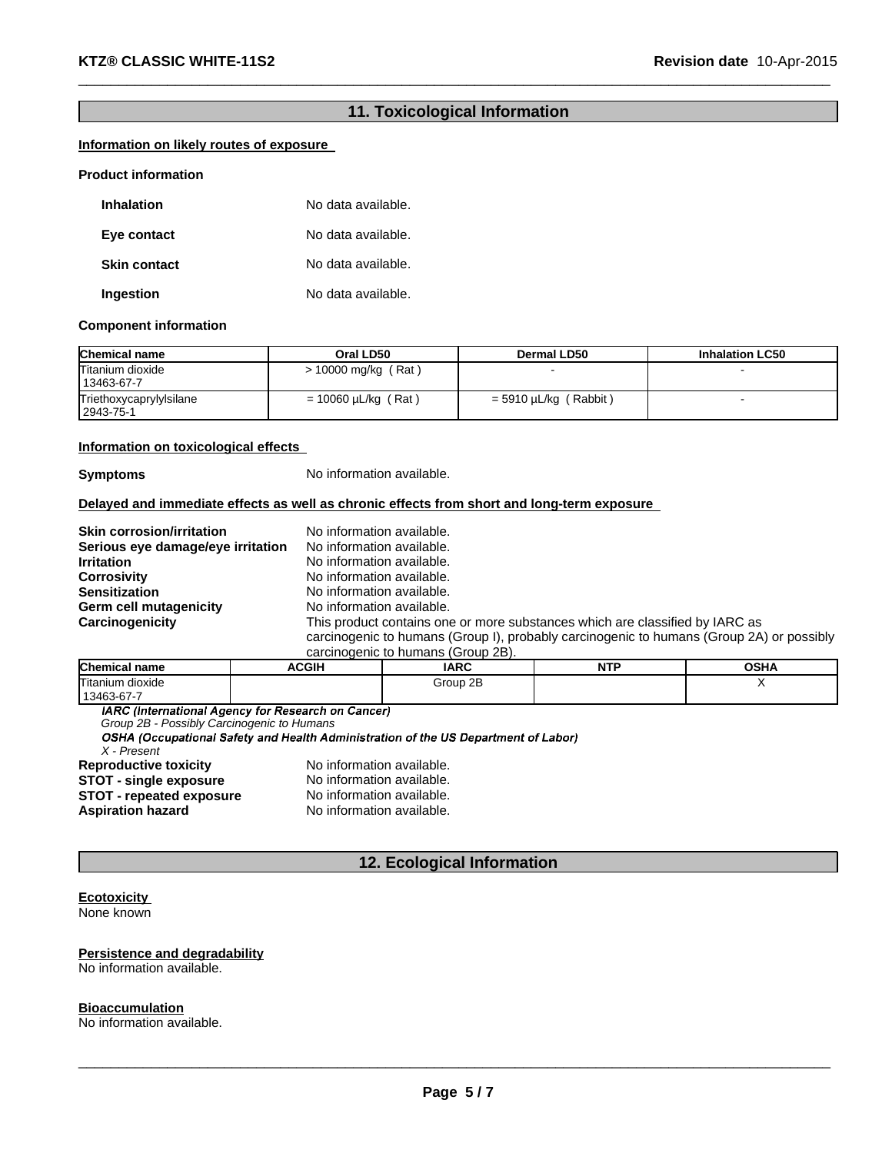# **11. Toxicological Information**

 $\_$  , and the set of the set of the set of the set of the set of the set of the set of the set of the set of the set of the set of the set of the set of the set of the set of the set of the set of the set of the set of th

# **Information on likely routes of exposure**

#### **Product information**

| <b>Inhalation</b>   | No data available. |
|---------------------|--------------------|
| Eye contact         | No data available. |
| <b>Skin contact</b> | No data available. |
| Ingestion           | No data available. |

#### **Component information**

| <b>Chemical name</b>                 | Oral LD50                | <b>Dermal LD50</b>      | <b>Inhalation LC50</b> |
|--------------------------------------|--------------------------|-------------------------|------------------------|
| Titanium dioxide<br>13463-67-7       | $> 10000$ mg/kg (Rat)    |                         |                        |
| Triethoxycaprylylsilane<br>2943-75-1 | $= 10060 \mu L/kg$ (Rat) | $=$ 5910 µL/kg (Rabbit) |                        |

#### **Information on toxicological effects**

**Symptoms** No information available.

### **Delayed and immediate effects as well as chronic effects from short and long-term exposure**

| <b>Skin corrosion/irritation</b>  | No information available.                                                                |
|-----------------------------------|------------------------------------------------------------------------------------------|
| Serious eye damage/eye irritation | No information available.                                                                |
| <b>Irritation</b>                 | No information available.                                                                |
| <b>Corrosivity</b>                | No information available.                                                                |
| <b>Sensitization</b>              | No information available.                                                                |
| Germ cell mutagenicity            | No information available.                                                                |
| Carcinogenicity                   | This product contains one or more substances which are classified by IARC as             |
|                                   | carcinogenic to humans (Group I), probably carcinogenic to humans (Group 2A) or possibly |
|                                   | carcinogenic to humans (Group 2B).                                                       |

| <b>Chemical name</b>  | <b>ACGIH</b> | <b>IARC</b> | <b>NTP</b> | <b>OSHA</b> |
|-----------------------|--------------|-------------|------------|-------------|
| Titanium<br>ı dioxide |              | 2B<br>Group |            |             |
| 13463-67-7            |              |             |            |             |

IARC (International Agency for Research on Cancer)

*Group 2B - Possibly Carcinogenic to Humans*

*X - Present* **Reproductive toxicity** No information available.

**STOT - single exposure** No information available. **STOT - repeated exposure** No information available.<br> **Aspiration hazard** No information available. **No information available.** 

# **12. Ecological Information**

# **Ecotoxicity**

None known

### **Persistence and degradability**

No information available.

#### **Bioaccumulation**

No information available.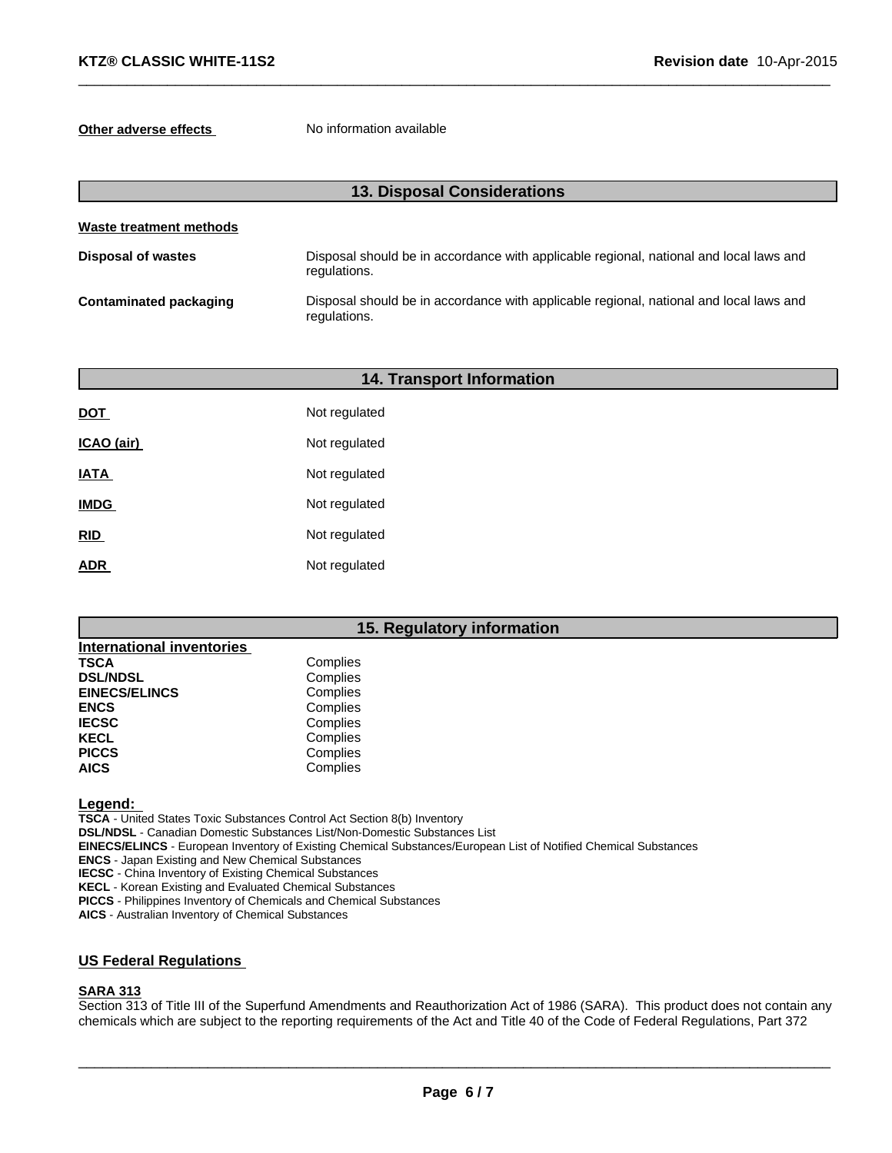**Other adverse effects** No information available

| <b>13. Disposal Considerations</b> |                                                                                                        |  |  |
|------------------------------------|--------------------------------------------------------------------------------------------------------|--|--|
| Waste treatment methods            |                                                                                                        |  |  |
| <b>Disposal of wastes</b>          | Disposal should be in accordance with applicable regional, national and local laws and<br>regulations. |  |  |
| <b>Contaminated packaging</b>      | Disposal should be in accordance with applicable regional, national and local laws and<br>regulations. |  |  |

 $\_$  , and the set of the set of the set of the set of the set of the set of the set of the set of the set of the set of the set of the set of the set of the set of the set of the set of the set of the set of the set of th

| <b>14. Transport Information</b> |               |  |  |
|----------------------------------|---------------|--|--|
| <b>DOT</b>                       | Not regulated |  |  |
| ICAO (air)                       | Not regulated |  |  |
| <b>IATA</b>                      | Not regulated |  |  |
| <b>IMDG</b>                      | Not regulated |  |  |
| RID                              | Not regulated |  |  |
| <b>ADR</b>                       | Not regulated |  |  |
|                                  |               |  |  |

# **15. Regulatory information**

| <b>International inventories</b> |          |
|----------------------------------|----------|
| TSCA                             | Complies |
| <b>DSL/NDSL</b>                  | Complies |
| <b>EINECS/ELINCS</b>             | Complies |
| <b>ENCS</b>                      | Complies |
| <b>IECSC</b>                     | Complies |
| KECL                             | Complies |
| <b>PICCS</b>                     | Complies |
| AICS                             | Complies |

**Legend:**

**TSCA** - United States Toxic Substances Control Act Section 8(b) Inventory **DSL/NDSL** - Canadian Domestic Substances List/Non-Domestic Substances List **EINECS/ELINCS** - European Inventory of Existing Chemical Substances/European List of Notified Chemical Substances **ENCS** - Japan Existing and New Chemical Substances

**IECSC** - China Inventory of Existing Chemical Substances

**KECL** - Korean Existing and Evaluated Chemical Substances

**PICCS** - Philippines Inventory of Chemicals and Chemical Substances

**AICS** - Australian Inventory of Chemical Substances

# **US Federal Regulations**

### **SARA 313**

Section 313 of Title III of the Superfund Amendments and Reauthorization Act of 1986 (SARA). This product does not contain any chemicals which are subject to the reporting requirements of the Act and Title 40 of the Code of Federal Regulations, Part 372